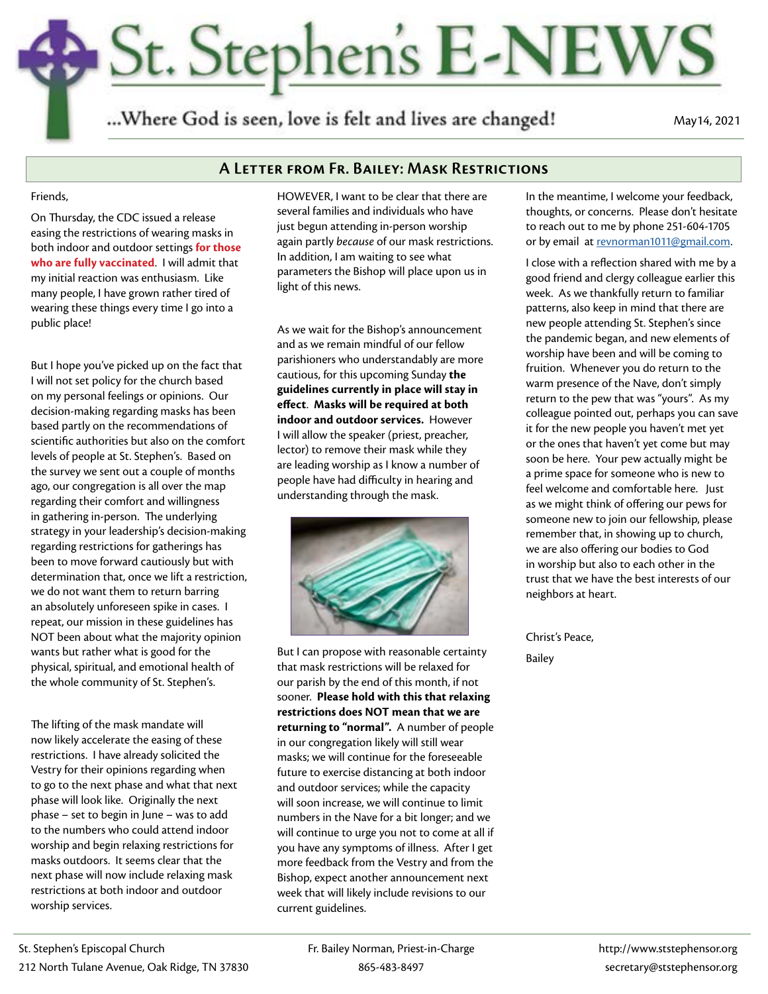# St. Stephen's E-NEWS

...Where God is seen, love is felt and lives are changed!

May14, 2021

# **A Letter from Fr. Bailey: Mask Restrictions**

#### Friends,

On Thursday, the CDC issued a release easing the restrictions of wearing masks in both indoor and outdoor settings **for those who are fully vaccinated**. I will admit that my initial reaction was enthusiasm. Like many people, I have grown rather tired of wearing these things every time I go into a public place!

But I hope you've picked up on the fact that I will not set policy for the church based on my personal feelings or opinions. Our decision-making regarding masks has been based partly on the recommendations of scientific authorities but also on the comfort levels of people at St. Stephen's. Based on the survey we sent out a couple of months ago, our congregation is all over the map regarding their comfort and willingness in gathering in-person. The underlying strategy in your leadership's decision-making regarding restrictions for gatherings has been to move forward cautiously but with determination that, once we lift a restriction, we do not want them to return barring an absolutely unforeseen spike in cases. I repeat, our mission in these guidelines has NOT been about what the majority opinion wants but rather what is good for the physical, spiritual, and emotional health of the whole community of St. Stephen's.

The lifting of the mask mandate will now likely accelerate the easing of these restrictions. I have already solicited the Vestry for their opinions regarding when to go to the next phase and what that next phase will look like. Originally the next phase – set to begin in June – was to add to the numbers who could attend indoor worship and begin relaxing restrictions for masks outdoors. It seems clear that the next phase will now include relaxing mask restrictions at both indoor and outdoor worship services.

HOWEVER, I want to be clear that there are several families and individuals who have just begun attending in-person worship again partly *because* of our mask restrictions. In addition, I am waiting to see what parameters the Bishop will place upon us in light of this news.

As we wait for the Bishop's announcement and as we remain mindful of our fellow parishioners who understandably are more cautious, for this upcoming Sunday **the guidelines currently in place will stay in effect**. **Masks will be required at both indoor and outdoor services.** However I will allow the speaker (priest, preacher, lector) to remove their mask while they are leading worship as I know a number of people have had difficulty in hearing and understanding through the mask.



But I can propose with reasonable certainty that mask restrictions will be relaxed for our parish by the end of this month, if not sooner. **Please hold with this that relaxing restrictions does NOT mean that we are returning to "normal".** A number of people in our congregation likely will still wear masks; we will continue for the foreseeable future to exercise distancing at both indoor and outdoor services; while the capacity will soon increase, we will continue to limit numbers in the Nave for a bit longer; and we will continue to urge you not to come at all if you have any symptoms of illness. After I get more feedback from the Vestry and from the Bishop, expect another announcement next week that will likely include revisions to our current guidelines.

In the meantime, I welcome your feedback, thoughts, or concerns. Please don't hesitate to reach out to me by phone 251-604-1705 or by email at [revnorman1011@gmail.com.](mailto:revnorman1011%40gmail.com?subject=)

I close with a reflection shared with me by a good friend and clergy colleague earlier this week. As we thankfully return to familiar patterns, also keep in mind that there are new people attending St. Stephen's since the pandemic began, and new elements of worship have been and will be coming to fruition. Whenever you do return to the warm presence of the Nave, don't simply return to the pew that was "yours". As my colleague pointed out, perhaps you can save it for the new people you haven't met yet or the ones that haven't yet come but may soon be here. Your pew actually might be a prime space for someone who is new to feel welcome and comfortable here. Just as we might think of offering our pews for someone new to join our fellowship, please remember that, in showing up to church, we are also offering our bodies to God in worship but also to each other in the trust that we have the best interests of our neighbors at heart.

Christ's Peace, Bailey